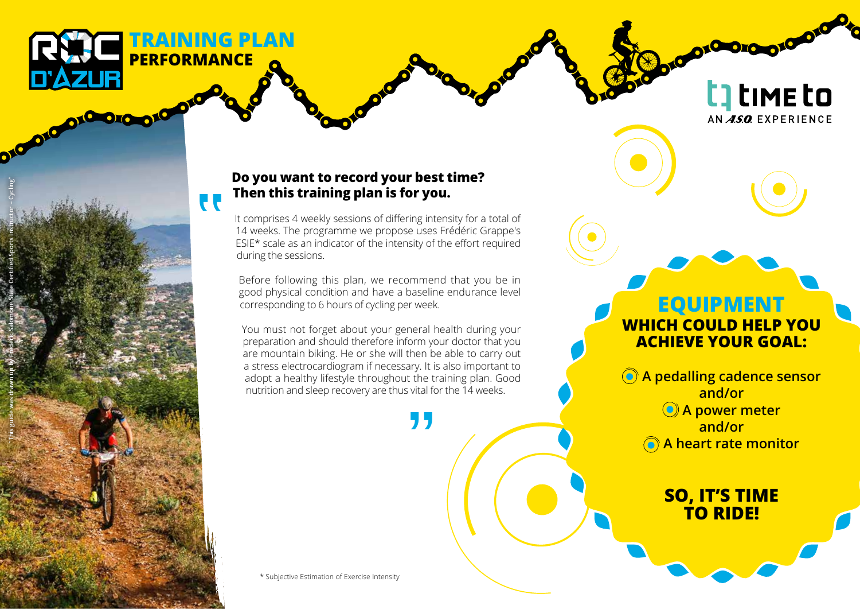**TRAINING PLAN PERFORMANCE DICIDIO DI CHOICHO TO** 

 $\overline{\mathbf{t}}$ 

**"This guide was drawn up by Frédéric Salomone State Certified Sports Instructor – Cycling"**

## **Do you want to record your best time? Then this training plan is for you.**

It comprises 4 weekly sessions of differing intensity for a total of 14 weeks. The programme we propose uses Frédéric Grappe's ESIE\* scale as an indicator of the intensity of the effort required during the sessions.

Before following this plan, we recommend that you be in good physical condition and have a baseline endurance level corresponding to 6 hours of cycling per week.

You must not forget about your general health during your preparation and should therefore inform your doctor that you are mountain biking. He or she will then be able to carry out a stress electrocardiogram if necessary. It is also important to adopt a healthy lifestyle throughout the training plan. Good nutrition and sleep recovery are thus vital for the 14 weeks.

\* Subjective Estimation of Exercise Intensity

## **EQUIPMENT WHICH COULD HELP YOU ACHIEVE YOUR GOAL:**

010010

**t**] time to

AN ASO EXPERIENCE

 **A pedalling cadence sensor and/or A power meter and/or A heart rate monitor**

> **SO, IT'S TIME TO RIDE!**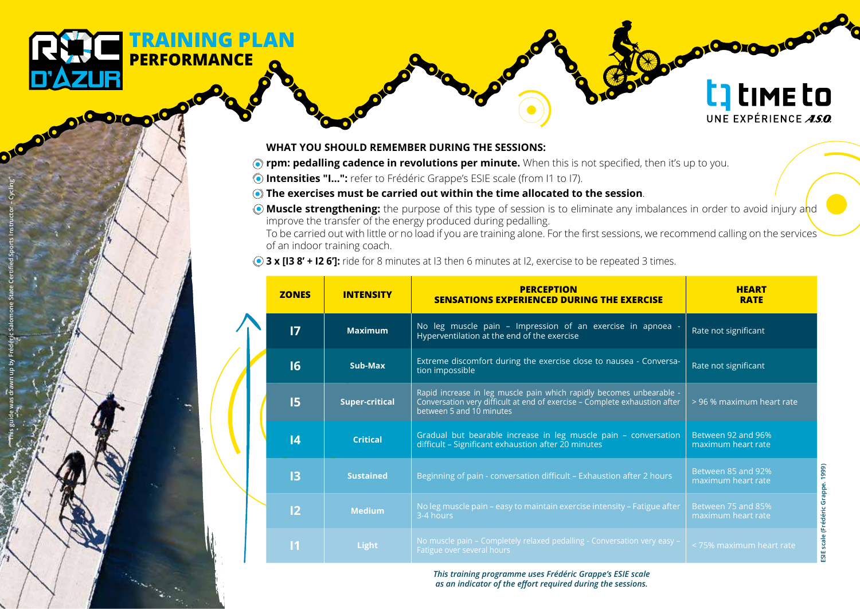## **WHAT YOU SHOULD REMEMBER DURING THE SESSIONS:**

- **The right incredalling cadence in revolutions per minute.** When this is not specified, then it's up to you.
- **Intensities "I…":** refer to Frédéric Grappe's ESIE scale (from I1 to I7).
- **The exercises must be carried out within the time allocated to the session**.
- **Muscle strengthening:** the purpose of this type of session is to eliminate any imbalances in order to avoid injury and improve the transfer of the energy produced during pedalling.

To be carried out with little or no load if you are training alone. For the first sessions, we recommend calling on the services of an indoor training coach.

**3 x [I3 8' + I2 6']:** ride for 8 minutes at I3 then 6 minutes at I2, exercise to be repeated 3 times.

|  | <b>ZONES</b>    | <b>INTENSITY</b>      | <b>PERCEPTION</b><br><b>SENSATIONS EXPERIENCED DURING THE EXERCISE</b>                                                                                                         | HEART<br><b>RATE</b>                     |
|--|-----------------|-----------------------|--------------------------------------------------------------------------------------------------------------------------------------------------------------------------------|------------------------------------------|
|  | $\overline{17}$ | <b>Maximum</b>        | No leg muscle pain - Impression of an exercise in apnoea -<br>Hyperventilation at the end of the exercise                                                                      | Rate not significant                     |
|  | 16              | Sub-Max               | Extreme discomfort during the exercise close to nausea - Conversa-<br>tion impossible                                                                                          | Rate not significant                     |
|  | 15              | <b>Super-critical</b> | Rapid increase in leg muscle pain which rapidly becomes unbearable -<br>Conversation very difficult at end of exercise - Complete exhaustion after<br>between 5 and 10 minutes | > 96 % maximum heart rate                |
|  | 4               | <b>Critical</b>       | Gradual but bearable increase in leg muscle pain - conversation<br>difficult - Significant exhaustion after 20 minutes                                                         | Between 92 and 96%<br>maximum heart rate |
|  | 13              | <b>Sustained</b>      | Beginning of pain - conversation difficult - Exhaustion after 2 hours                                                                                                          | Between 85 and 92%<br>maximum heart rate |
|  | 2               | <b>Medium</b>         | No leg muscle pain – easy to maintain exercise intensity – Fatigue after<br>3-4 hours                                                                                          | Between 75 and 85%<br>maximum heart rate |
|  | $\overline{11}$ | Light                 | No muscle pain - Completely relaxed pedalling - Conversation very easy -<br>Fatigue over several hours                                                                         | < 75% maximum heart rate                 |

*This training programme uses Frédéric Grappe's ESIE scale as an indicator of the effort required during the sessions.*

t] time to

UNE EXPÉRIENCE  $\overline{ASO}$ 

ordono ord

**"This guide was drawn up by Frédéric Salomone State Certified Sports Instructor – Cycling"**

**TRAINING PLAN**

**PERFORMANCE**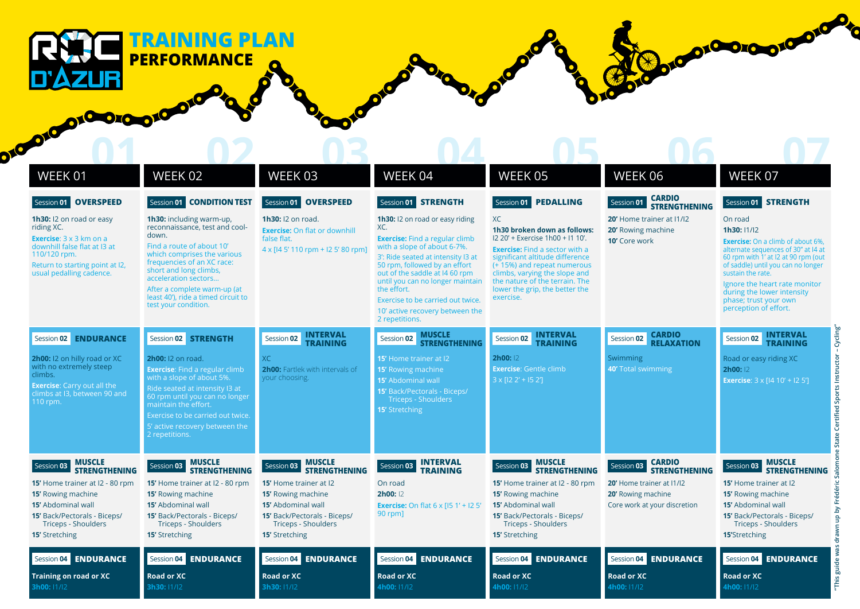010010010 O10 O10 **01 02 03 04 05 06 06 07** WEEK 01 WEEK 02 WEEK 03 WEEK 04 WEEK 05 Session **01 OVERSPEED** Session **01 CONDITION TEST** Session **01 OVERSPEED** Session **01 STRENGTH** Session **01 PEDALLING 1h30:** I2 on road or easy **1h30:** including warm-up, **1h30:** I2 on road. **1h30:** I2 on road or easy riding XC riding XC. reconnaissance, test and cool-XC.

down. Find a route of about 10' which comprises the various frequencies of an XC race: short and long climbs, acceleration sectors… After a complete warm-up (at least 40'), ride a timed circuit to test your condition. Session **02 STRENGTH 2h00:** I2 on road. **Exercise**: Find a regular climb with a slope of about 5%. Ride seated at intensity I3 at 60 rpm until you can no longer maintain the effort. Exercise to be carried out twice. 2 repetitions. Session **03 MUSCLE STRENGTHENING 15'** Home trainer at I2 - 80 rpm **15'** Rowing machine **15'** Abdominal wall **15'** Back/Pectorals - Biceps/ Triceps - Shoulders **Exercise**: 3 x 3 km on a downhill false flat at I3 at 110/120 rpm. Return to starting point at I2, usual pedalling cadence. Session **02 ENDURANCE 2h00:** I2 on hilly road or XC with no extremely steep climbs. **Exercise**: Carry out all the climbs at I3, between 90 and 110 rpm. Session **03 MUSCLE STRENGTHENING 15'** Home trainer at I2 - 80 rpm **15'** Rowing machine **15'** Abdominal wall **15'** Back/Pectorals - Biceps/ Triceps - Shoulders **Exercise:** On flat or downhill false flat. 4 x [I4 5' 110 rpm + I2 5' 80 rpm] Session **02 INTERVAL TRAINING** XC **2h00:** Fartlek with intervals of your choosing. Session **03 MUSCLE STRENGTHENING 15'** Home trainer at I2 **15'** Rowing machine **15'** Abdominal wall **15'** Back/Pectorals - Biceps/ Triceps - Shoulders **Exercise:** Find a regular climb with a slope of about 6-7%. 3': Ride seated at intensity I3 at 50 rpm, followed by an effort out of the saddle at I4 60 rpm until you can no longer maintain the effort. Exercise to be carried out twice. 10' active recovery between the 2 repetitions. Session **02 MUSCLE STRENGTHENING 15'** Home trainer at I2 **15'** Rowing machine **15'** Abdominal wall **15'** Back/Pectorals - Biceps/ **15'** Stretching Session **03 INTERVAL TRAINING** On road **2h00:** I2 **Exercise:** On flat 6 x [15 1' + 12 5' 90 rpm] **1h30 broken down as follows:**  I2 20' + Exercise 1h00 + I1 10'. **Exercise:** Find a sector with a significant altitude difference (+ 15%) and repeat numerous climbs, varying the slope and the nature of the terrain. The lower the grip, the better the exercise. Session **02 INTERVAL TRAINING 2h00:** I2 **Exercise**: Gentle climb  $3 \times 122' + 152'$ Session **03 MUSCLE STRENGTHENING 15'** Home trainer at I2 - 80 rpm **15'** Rowing machine **15'** Abdominal wall **15'** Back/Pectorals - Biceps/ Triceps - Shoulders **20'** Home trainer at I1/I2 **20'** Rowing machine **10'** Core work Session **02 CARDIO RELAXATION** Swimming **40'** Total swimming Session **03 CARDIO STRENGTHENING 20'** Home trainer at I1/I2 20' Rowing machine Core work at your discretion On road **1h30:** I1/I2 **Exercise:** On a climb of about 6%. alternate sequences of 30'' at I4 at 60 rpm with 1' at I2 at 90 rpm (out of saddle) until you can no longer sustain the rate. Ignore the heart rate monitor during the lower intensity phase; trust your own perception of effort. Session **02 INTERVAL TRAINING** Road or easy riding XC **2h00:** I2 **Exercise**: 3 x [I4 10' + I2 5'] Session **03 MUSCLE STRENGTHENING 15'** Home trainer at I2 **15'** Rowing machine **15'** Abdominal wall **15'** Back/Pectorals - Biceps/ Triceps - Shoulders

**15'** Stretching Session **04 ENDURANCE Road or XC 3h30:** I1/I2 **15'** Stretching Session **04 ENDURANCE Training on road or XC 3h00:** I1/I2 **15'** Stretching Session **04 ENDURANCE Road or XC 3h30:** I1/I2 Session **04 ENDURANCE Road or XC 4h00:** I1/I2 **15'** Stretching Session **04 ENDURANCE Road or XC 4h00:** I1/I2 Session **04 ENDURANCE Road or XC 4h00:** I1/I2 **15'**Stretching Session **04 ENDURANCE Road or XC 4h00:** I1/I2



WEEK 06

**CARDIO STRENGTHENING** WEEK 07

Archarge Contractor Contractor

Session **01 STRENGTH**

Session **01** 

## **TRAINING PLAN PERFORMANCE**